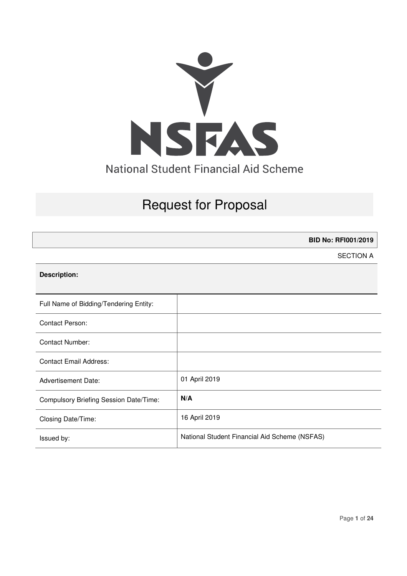

# Request for Proposal

**BID No: RFI001/2019** 

SECTION A

#### **Description:**

| Full Name of Bidding/Tendering Entity: |                                               |
|----------------------------------------|-----------------------------------------------|
| <b>Contact Person:</b>                 |                                               |
| Contact Number:                        |                                               |
| <b>Contact Email Address:</b>          |                                               |
| <b>Advertisement Date:</b>             | 01 April 2019                                 |
| Compulsory Briefing Session Date/Time: | N/A                                           |
| Closing Date/Time:                     | 16 April 2019                                 |
| Issued by:                             | National Student Financial Aid Scheme (NSFAS) |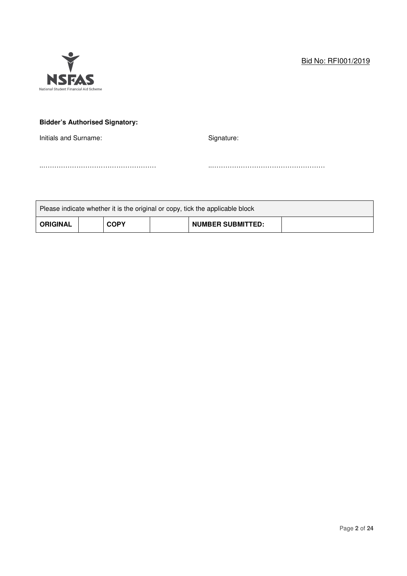

## **Bidder's Authorised Signatory:**

Initials and Surname: Signature: Signature:

Please indicate whether it is the original or copy, tick the applicable block

..…………………………………………… ..……………………………………………

**ORIGINAL** COPY | NUMBER SUBMITTED: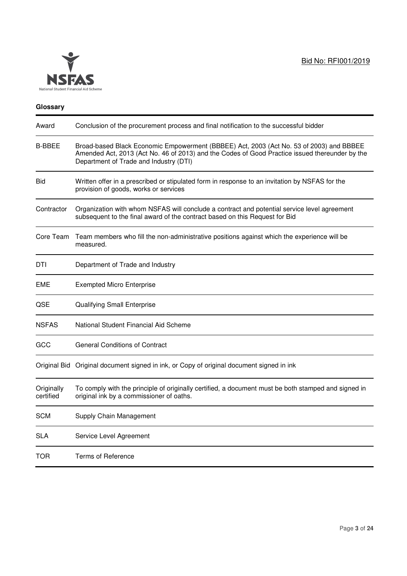

## **Glossary**

| Award                   | Conclusion of the procurement process and final notification to the successful bidder                                                                                                                                               |
|-------------------------|-------------------------------------------------------------------------------------------------------------------------------------------------------------------------------------------------------------------------------------|
| B-BBEE                  | Broad-based Black Economic Empowerment (BBBEE) Act, 2003 (Act No. 53 of 2003) and BBBEE<br>Amended Act, 2013 (Act No. 46 of 2013) and the Codes of Good Practice issued thereunder by the<br>Department of Trade and Industry (DTI) |
| Bid                     | Written offer in a prescribed or stipulated form in response to an invitation by NSFAS for the<br>provision of goods, works or services                                                                                             |
| Contractor              | Organization with whom NSFAS will conclude a contract and potential service level agreement<br>subsequent to the final award of the contract based on this Request for Bid                                                          |
| Core Team               | Team members who fill the non-administrative positions against which the experience will be<br>measured.                                                                                                                            |
| DTI                     | Department of Trade and Industry                                                                                                                                                                                                    |
| EME                     | <b>Exempted Micro Enterprise</b>                                                                                                                                                                                                    |
| QSE                     | Qualifying Small Enterprise                                                                                                                                                                                                         |
| <b>NSFAS</b>            | National Student Financial Aid Scheme                                                                                                                                                                                               |
| GCC                     | <b>General Conditions of Contract</b>                                                                                                                                                                                               |
|                         | Original Bid Original document signed in ink, or Copy of original document signed in ink                                                                                                                                            |
| Originally<br>certified | To comply with the principle of originally certified, a document must be both stamped and signed in<br>original ink by a commissioner of oaths.                                                                                     |
| <b>SCM</b>              | Supply Chain Management                                                                                                                                                                                                             |
| <b>SLA</b>              | Service Level Agreement                                                                                                                                                                                                             |
| <b>TOR</b>              | <b>Terms of Reference</b>                                                                                                                                                                                                           |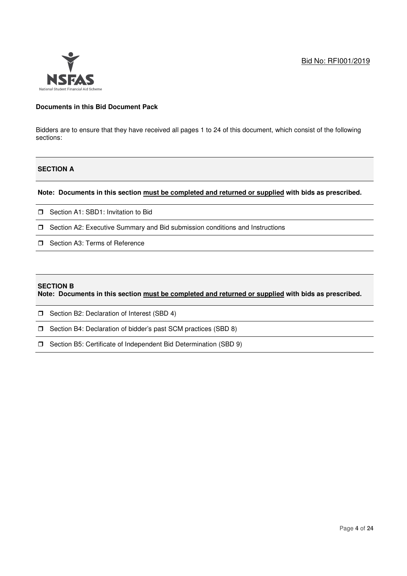

#### **Documents in this Bid Document Pack**

Bidders are to ensure that they have received all pages 1 to 24 of this document, which consist of the following sections:

## **SECTION A**

#### **Note: Documents in this section must be completed and returned or supplied with bids as prescribed.**

- □ Section A1: SBD1: Invitation to Bid
- □ Section A2: Executive Summary and Bid submission conditions and Instructions
- Section A3: Terms of Reference

#### **SECTION B**

**Note: Documents in this section must be completed and returned or supplied with bids as prescribed.** 

- **J** Section B2: Declaration of Interest (SBD 4)
- Section B4: Declaration of bidder's past SCM practices (SBD 8)
- Section B5: Certificate of Independent Bid Determination (SBD 9)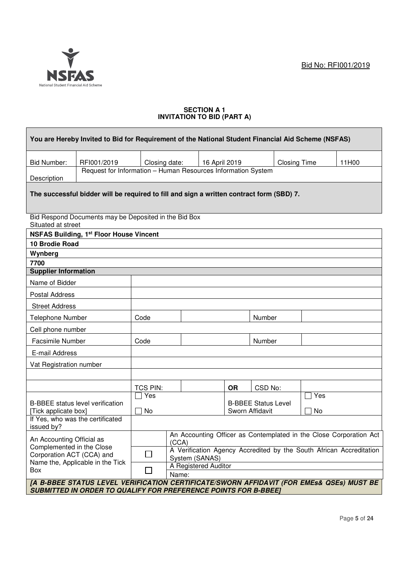

#### **SECTION A 1 INVITATION TO BID (PART A)**

| You are Hereby Invited to Bid for Requirement of the National Student Financial Aid Scheme (NSFAS)                                                                 |                                                              |                                                                             |                      |                                                            |           |         |                     |     |                                                                     |
|--------------------------------------------------------------------------------------------------------------------------------------------------------------------|--------------------------------------------------------------|-----------------------------------------------------------------------------|----------------------|------------------------------------------------------------|-----------|---------|---------------------|-----|---------------------------------------------------------------------|
| <b>Bid Number:</b>                                                                                                                                                 | RFI001/2019                                                  | Closing date:                                                               |                      | 16 April 2019                                              |           |         | <b>Closing Time</b> |     | 11H00                                                               |
| Description                                                                                                                                                        | Request for Information - Human Resources Information System |                                                                             |                      |                                                            |           |         |                     |     |                                                                     |
| The successful bidder will be required to fill and sign a written contract form (SBD) 7.                                                                           |                                                              |                                                                             |                      |                                                            |           |         |                     |     |                                                                     |
| Bid Respond Documents may be Deposited in the Bid Box<br>Situated at street                                                                                        |                                                              |                                                                             |                      |                                                            |           |         |                     |     |                                                                     |
|                                                                                                                                                                    | <b>NSFAS Building, 1st Floor House Vincent</b>               |                                                                             |                      |                                                            |           |         |                     |     |                                                                     |
| 10 Brodie Road                                                                                                                                                     |                                                              |                                                                             |                      |                                                            |           |         |                     |     |                                                                     |
| Wynberg                                                                                                                                                            |                                                              |                                                                             |                      |                                                            |           |         |                     |     |                                                                     |
| 7700<br><b>Supplier Information</b>                                                                                                                                |                                                              |                                                                             |                      |                                                            |           |         |                     |     |                                                                     |
| Name of Bidder                                                                                                                                                     |                                                              |                                                                             |                      |                                                            |           |         |                     |     |                                                                     |
|                                                                                                                                                                    |                                                              |                                                                             |                      |                                                            |           |         |                     |     |                                                                     |
| <b>Postal Address</b>                                                                                                                                              |                                                              |                                                                             |                      |                                                            |           |         |                     |     |                                                                     |
| <b>Street Address</b>                                                                                                                                              |                                                              |                                                                             |                      |                                                            |           |         |                     |     |                                                                     |
| Telephone Number                                                                                                                                                   |                                                              | Code                                                                        |                      |                                                            |           | Number  |                     |     |                                                                     |
| Cell phone number                                                                                                                                                  |                                                              |                                                                             |                      |                                                            |           |         |                     |     |                                                                     |
| Facsimile Number                                                                                                                                                   |                                                              | Code                                                                        |                      |                                                            |           | Number  |                     |     |                                                                     |
| E-mail Address                                                                                                                                                     |                                                              |                                                                             |                      |                                                            |           |         |                     |     |                                                                     |
| Vat Registration number                                                                                                                                            |                                                              |                                                                             |                      |                                                            |           |         |                     |     |                                                                     |
|                                                                                                                                                                    |                                                              |                                                                             |                      |                                                            |           |         |                     |     |                                                                     |
|                                                                                                                                                                    |                                                              | <b>TCS PIN:</b>                                                             |                      |                                                            | <b>OR</b> | CSD No: |                     |     |                                                                     |
|                                                                                                                                                                    |                                                              | Yes                                                                         |                      |                                                            |           |         |                     | Yes |                                                                     |
| <b>B-BBEE</b> status level verification<br>[Tick applicate box]                                                                                                    |                                                              | No<br>$\sim$                                                                |                      | <b>B-BBEE Status Level</b><br>$\Box$ No<br>Sworn Affidavit |           |         |                     |     |                                                                     |
| issued by?                                                                                                                                                         | If Yes, who was the certificated                             |                                                                             |                      |                                                            |           |         |                     |     |                                                                     |
| An Accounting Official as<br>Complemented in the Close<br>Corporation ACT (CCA) and                                                                                |                                                              | An Accounting Officer as Contemplated in the Close Corporation Act<br>(CCA) |                      |                                                            |           |         |                     |     |                                                                     |
|                                                                                                                                                                    |                                                              |                                                                             | System (SANAS)       |                                                            |           |         |                     |     | A Verification Agency Accredited by the South African Accreditation |
| Box                                                                                                                                                                | Name the, Applicable in the Tick                             |                                                                             | A Registered Auditor |                                                            |           |         |                     |     |                                                                     |
|                                                                                                                                                                    |                                                              |                                                                             | Name:                |                                                            |           |         |                     |     |                                                                     |
| [A B-BBEE STATUS LEVEL VERIFICATION CERTIFICATE/SWORN AFFIDAVIT (FOR EMEs& QSEs) MUST BE<br><b>SUBMITTED IN ORDER TO QUALIFY FOR PREFERENCE POINTS FOR B-BBEE]</b> |                                                              |                                                                             |                      |                                                            |           |         |                     |     |                                                                     |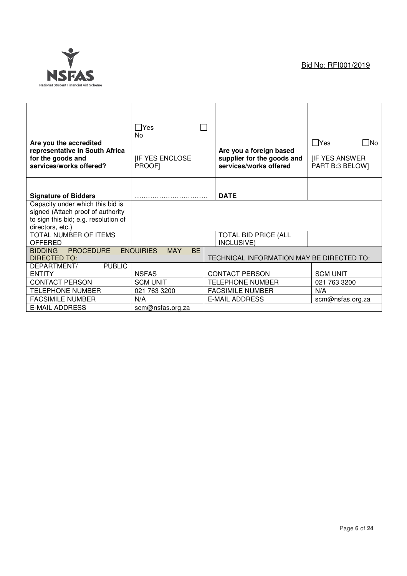

| Are you the accredited<br>representative in South Africa<br>for the goods and<br>services/works offered?                          | $\Box$ Yes<br>No<br><b>IF YES ENCLOSE</b><br>PROOF] | Are you a foreign based<br>supplier for the goods and<br>services/works offered | $\Box$ Yes<br>- INo<br><b>IF YES ANSWER</b><br>PART B:3 BELOW] |
|-----------------------------------------------------------------------------------------------------------------------------------|-----------------------------------------------------|---------------------------------------------------------------------------------|----------------------------------------------------------------|
| <b>Signature of Bidders</b>                                                                                                       |                                                     | <b>DATE</b>                                                                     |                                                                |
| Capacity under which this bid is<br>signed (Attach proof of authority<br>to sign this bid; e.g. resolution of<br>directors, etc.) |                                                     |                                                                                 |                                                                |
| TOTAL NUMBER OF ITEMS<br>OFFERED                                                                                                  |                                                     | TOTAL BID PRICE (ALL<br>INCLUSIVE)                                              |                                                                |
| <b>PROCEDURE</b><br><b>BIDDING</b><br><b>DIRECTED TO:</b>                                                                         | <b>ENQUIRIES</b><br><b>MAY</b><br><b>BE</b>         | TECHNICAL INFORMATION MAY BE DIRECTED TO:                                       |                                                                |
| <b>PUBLIC</b><br>DEPARTMENT/<br><b>ENTITY</b>                                                                                     | <b>NSFAS</b>                                        | <b>CONTACT PERSON</b>                                                           | <b>SCM UNIT</b>                                                |
| <b>CONTACT PERSON</b>                                                                                                             | <b>SCM UNIT</b>                                     | <b>TELEPHONE NUMBER</b>                                                         | 021 763 3200                                                   |
| <b>TELEPHONE NUMBER</b>                                                                                                           | 021 763 3200                                        | <b>FACSIMILE NUMBER</b>                                                         | N/A                                                            |
| <b>FACSIMILE NUMBER</b>                                                                                                           | N/A                                                 | <b>E-MAIL ADDRESS</b>                                                           | scm@nsfas.org.za                                               |
| <b>E-MAIL ADDRESS</b>                                                                                                             | scm@nsfas.org.za                                    |                                                                                 |                                                                |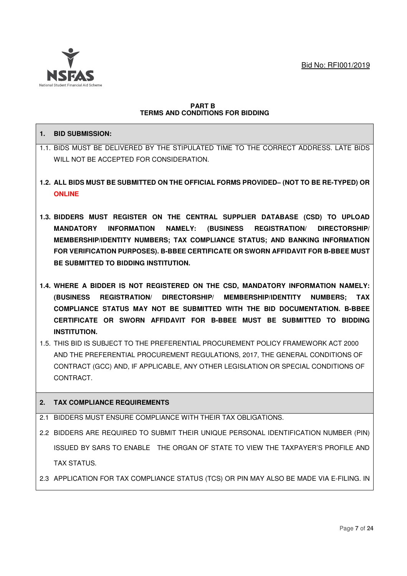

#### **PART B TERMS AND CONDITIONS FOR BIDDING**

## **1. BID SUBMISSION:**

- 1.1. BIDS MUST BE DELIVERED BY THE STIPULATED TIME TO THE CORRECT ADDRESS. LATE BIDS WILL NOT BE ACCEPTED FOR CONSIDERATION.
- **1.2. ALL BIDS MUST BE SUBMITTED ON THE OFFICIAL FORMS PROVIDED– (NOT TO BE RE-TYPED) OR ONLINE**
- **1.3. BIDDERS MUST REGISTER ON THE CENTRAL SUPPLIER DATABASE (CSD) TO UPLOAD MANDATORY INFORMATION NAMELY: (BUSINESS REGISTRATION/ DIRECTORSHIP/ MEMBERSHIP/IDENTITY NUMBERS; TAX COMPLIANCE STATUS; AND BANKING INFORMATION FOR VERIFICATION PURPOSES). B-BBEE CERTIFICATE OR SWORN AFFIDAVIT FOR B-BBEE MUST BE SUBMITTED TO BIDDING INSTITUTION.**
- **1.4. WHERE A BIDDER IS NOT REGISTERED ON THE CSD, MANDATORY INFORMATION NAMELY: (BUSINESS REGISTRATION/ DIRECTORSHIP/ MEMBERSHIP/IDENTITY NUMBERS; TAX COMPLIANCE STATUS MAY NOT BE SUBMITTED WITH THE BID DOCUMENTATION. B-BBEE CERTIFICATE OR SWORN AFFIDAVIT FOR B-BBEE MUST BE SUBMITTED TO BIDDING INSTITUTION.**
- 1.5. THIS BID IS SUBJECT TO THE PREFERENTIAL PROCUREMENT POLICY FRAMEWORK ACT 2000 AND THE PREFERENTIAL PROCUREMENT REGULATIONS, 2017, THE GENERAL CONDITIONS OF CONTRACT (GCC) AND, IF APPLICABLE, ANY OTHER LEGISLATION OR SPECIAL CONDITIONS OF CONTRACT.

## **2. TAX COMPLIANCE REQUIREMENTS**

- 2.1 BIDDERS MUST ENSURE COMPLIANCE WITH THEIR TAX OBLIGATIONS.
- 2.2 BIDDERS ARE REQUIRED TO SUBMIT THEIR UNIQUE PERSONAL IDENTIFICATION NUMBER (PIN) ISSUED BY SARS TO ENABLE THE ORGAN OF STATE TO VIEW THE TAXPAYER'S PROFILE AND TAX STATUS.
- 2.3 APPLICATION FOR TAX COMPLIANCE STATUS (TCS) OR PIN MAY ALSO BE MADE VIA E-FILING. IN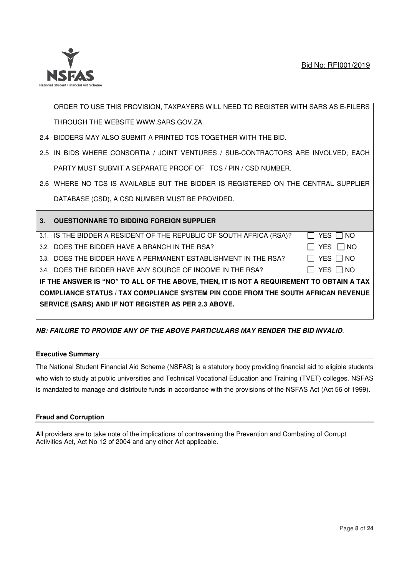

ORDER TO USE THIS PROVISION, TAXPAYERS WILL NEED TO REGISTER WITH SARS AS E-FILERS THROUGH THE WEBSITE WWW.SARS.GOV.ZA.

- 2.4 BIDDERS MAY ALSO SUBMIT A PRINTED TCS TOGETHER WITH THE BID.
- 2.5 IN BIDS WHERE CONSORTIA / JOINT VENTURES / SUB-CONTRACTORS ARE INVOLVED; EACH PARTY MUST SUBMIT A SEPARATE PROOF OF TCS / PIN / CSD NUMBER.
- 2.6 WHERE NO TCS IS AVAILABLE BUT THE BIDDER IS REGISTERED ON THE CENTRAL SUPPLIER DATABASE (CSD), A CSD NUMBER MUST BE PROVIDED.

|                                                                                          | 3. QUESTIONNARE TO BIDDING FOREIGN SUPPLIER                          |               |  |  |  |  |
|------------------------------------------------------------------------------------------|----------------------------------------------------------------------|---------------|--|--|--|--|
|                                                                                          | 3.1. IS THE BIDDER A RESIDENT OF THE REPUBLIC OF SOUTH AFRICA (RSA)? | YES     NO    |  |  |  |  |
|                                                                                          | 3.2. DOES THE BIDDER HAVE A BRANCH IN THE RSA?                       | YES □ NO      |  |  |  |  |
|                                                                                          | 3.3. DOES THE BIDDER HAVE A PERMANENT ESTABLISHMENT IN THE RSA?      | YES $\Box$ NO |  |  |  |  |
|                                                                                          | 3.4. DOES THE BIDDER HAVE ANY SOURCE OF INCOME IN THE RSA?           | YES $\Box$ NO |  |  |  |  |
| IF THE ANSWER IS "NO" TO ALL OF THE ABOVE, THEN, IT IS NOT A REQUIREMENT TO OBTAIN A TAX |                                                                      |               |  |  |  |  |
| <b>COMPLIANCE STATUS / TAX COMPLIANCE SYSTEM PIN CODE FROM THE SOUTH AFRICAN REVENUE</b> |                                                                      |               |  |  |  |  |
|                                                                                          | SERVICE (SARS) AND IF NOT REGISTER AS PER 2.3 ABOVE.                 |               |  |  |  |  |

## **NB: FAILURE TO PROVIDE ANY OF THE ABOVE PARTICULARS MAY RENDER THE BID INVALID**.

#### **Executive Summary**

The National Student Financial Aid Scheme (NSFAS) is a statutory body providing financial aid to eligible students who wish to study at public universities and Technical Vocational Education and Training (TVET) colleges. NSFAS is mandated to manage and distribute funds in accordance with the provisions of the NSFAS Act (Act 56 of 1999).

## **Fraud and Corruption**

All providers are to take note of the implications of contravening the Prevention and Combating of Corrupt Activities Act, Act No 12 of 2004 and any other Act applicable.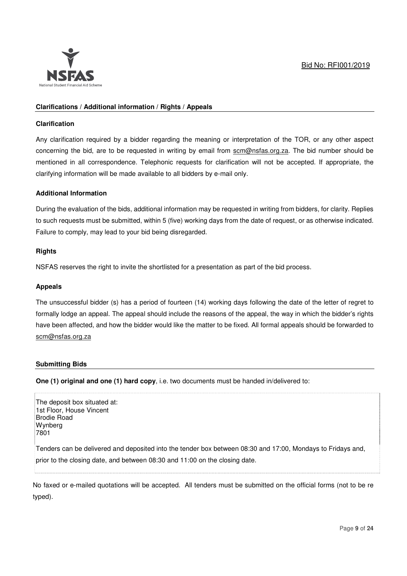

## **Clarifications / Additional information / Rights / Appeals**

#### **Clarification**

Any clarification required by a bidder regarding the meaning or interpretation of the TOR, or any other aspect concerning the bid, are to be requested in writing by email from scm@nsfas.org.za. The bid number should be mentioned in all correspondence. Telephonic requests for clarification will not be accepted. If appropriate, the clarifying information will be made available to all bidders by e-mail only.

#### **Additional Information**

During the evaluation of the bids, additional information may be requested in writing from bidders, for clarity. Replies to such requests must be submitted, within 5 (five) working days from the date of request, or as otherwise indicated. Failure to comply, may lead to your bid being disregarded.

#### **Rights**

NSFAS reserves the right to invite the shortlisted for a presentation as part of the bid process.

#### **Appeals**

The unsuccessful bidder (s) has a period of fourteen (14) working days following the date of the letter of regret to formally lodge an appeal. The appeal should include the reasons of the appeal, the way in which the bidder's rights have been affected, and how the bidder would like the matter to be fixed. All formal appeals should be forwarded to scm@nsfas.org.za

#### **Submitting Bids**

**One (1) original and one (1) hard copy**, i.e. two documents must be handed in/delivered to:

The deposit box situated at: 1st Floor, House Vincent Brodie Road **Wynberg** 7801 Tenders can be delivered and deposited into the tender box between 08:30 and 17:00, Mondays to Fridays and, prior to the closing date, and between 08:30 and 11:00 on the closing date.

No faxed or e-mailed quotations will be accepted. All tenders must be submitted on the official forms (not to be re typed).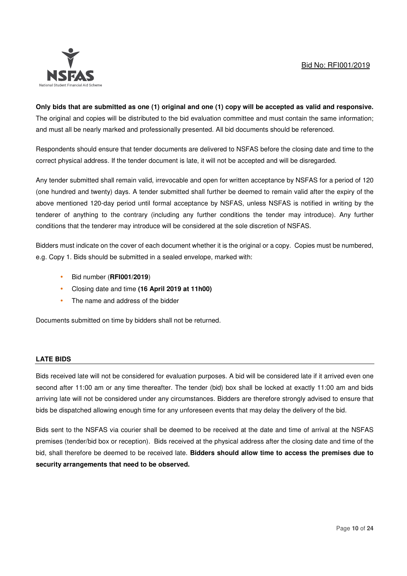

**Only bids that are submitted as one (1) original and one (1) copy will be accepted as valid and responsive.**  The original and copies will be distributed to the bid evaluation committee and must contain the same information; and must all be nearly marked and professionally presented. All bid documents should be referenced.

Respondents should ensure that tender documents are delivered to NSFAS before the closing date and time to the correct physical address. If the tender document is late, it will not be accepted and will be disregarded.

Any tender submitted shall remain valid, irrevocable and open for written acceptance by NSFAS for a period of 120 (one hundred and twenty) days. A tender submitted shall further be deemed to remain valid after the expiry of the above mentioned 120-day period until formal acceptance by NSFAS, unless NSFAS is notified in writing by the tenderer of anything to the contrary (including any further conditions the tender may introduce). Any further conditions that the tenderer may introduce will be considered at the sole discretion of NSFAS.

Bidders must indicate on the cover of each document whether it is the original or a copy. Copies must be numbered, e.g. Copy 1. Bids should be submitted in a sealed envelope, marked with:

- Bid number (**RFI001/2019**)
- Closing date and time **(16 April 2019 at 11h00)**
- The name and address of the bidder

Documents submitted on time by bidders shall not be returned.

#### **LATE BIDS**

Bids received late will not be considered for evaluation purposes. A bid will be considered late if it arrived even one second after 11:00 am or any time thereafter. The tender (bid) box shall be locked at exactly 11:00 am and bids arriving late will not be considered under any circumstances. Bidders are therefore strongly advised to ensure that bids be dispatched allowing enough time for any unforeseen events that may delay the delivery of the bid.

Bids sent to the NSFAS via courier shall be deemed to be received at the date and time of arrival at the NSFAS premises (tender/bid box or reception). Bids received at the physical address after the closing date and time of the bid, shall therefore be deemed to be received late. **Bidders should allow time to access the premises due to security arrangements that need to be observed.**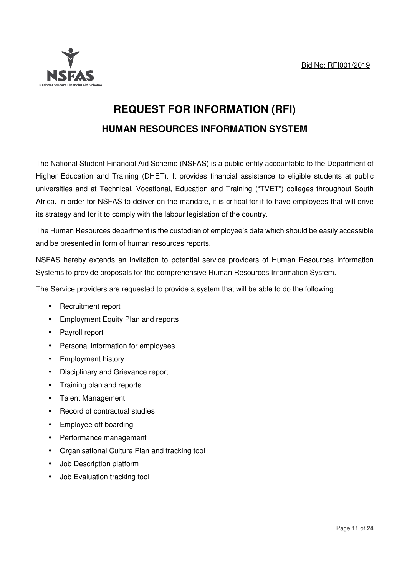

# **REQUEST FOR INFORMATION (RFI) HUMAN RESOURCES INFORMATION SYSTEM**

The National Student Financial Aid Scheme (NSFAS) is a public entity accountable to the Department of Higher Education and Training (DHET). It provides financial assistance to eligible students at public universities and at Technical, Vocational, Education and Training ("TVET") colleges throughout South Africa. In order for NSFAS to deliver on the mandate, it is critical for it to have employees that will drive its strategy and for it to comply with the labour legislation of the country.

The Human Resources department is the custodian of employee's data which should be easily accessible and be presented in form of human resources reports.

NSFAS hereby extends an invitation to potential service providers of Human Resources Information Systems to provide proposals for the comprehensive Human Resources Information System.

The Service providers are requested to provide a system that will be able to do the following:

- Recruitment report
- Employment Equity Plan and reports
- Payroll report
- Personal information for employees
- Employment history
- Disciplinary and Grievance report
- Training plan and reports
- Talent Management
- Record of contractual studies
- Employee off boarding
- Performance management
- Organisational Culture Plan and tracking tool
- Job Description platform
- Job Evaluation tracking tool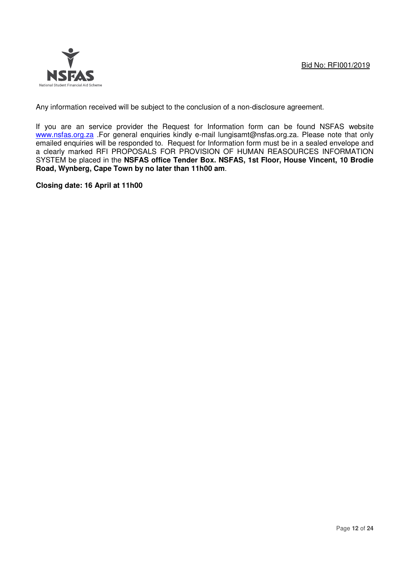

Any information received will be subject to the conclusion of a non-disclosure agreement.

If you are an service provider the Request for Information form can be found NSFAS website www.nsfas.org.za .For general enquiries kindly e-mail lungisamt@nsfas.org.za. Please note that only emailed enquiries will be responded to. Request for Information form must be in a sealed envelope and a clearly marked RFI PROPOSALS FOR PROVISION OF HUMAN REASOURCES INFORMATION SYSTEM be placed in the **NSFAS office Tender Box. NSFAS, 1st Floor, House Vincent, 10 Brodie Road, Wynberg, Cape Town by no later than 11h00 am**.

**Closing date: 16 April at 11h00**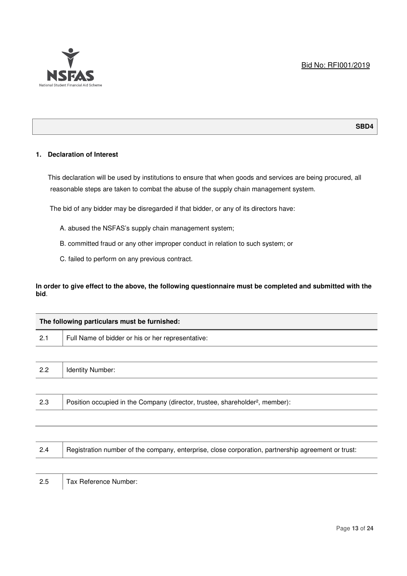

#### **SBD4**

#### **1. Declaration of Interest**

This declaration will be used by institutions to ensure that when goods and services are being procured, all reasonable steps are taken to combat the abuse of the supply chain management system.

The bid of any bidder may be disregarded if that bidder, or any of its directors have:

- A. abused the NSFAS's supply chain management system;
- B. committed fraud or any other improper conduct in relation to such system; or
- C. failed to perform on any previous contract.

#### **In order to give effect to the above, the following questionnaire must be completed and submitted with the bid**.

| The following particulars must be furnished: |                                                                                          |  |  |  |
|----------------------------------------------|------------------------------------------------------------------------------------------|--|--|--|
| 2.1                                          | Full Name of bidder or his or her representative:                                        |  |  |  |
|                                              |                                                                                          |  |  |  |
| 2.2                                          | Identity Number:                                                                         |  |  |  |
|                                              |                                                                                          |  |  |  |
| 2.3                                          | Position occupied in the Company (director, trustee, shareholder <sup>2</sup> , member): |  |  |  |
|                                              |                                                                                          |  |  |  |

| 2.4 | Begistration number of the company, enterprise, close corporation, partnership agreement or trust: |
|-----|----------------------------------------------------------------------------------------------------|
|     |                                                                                                    |

2.5 | Tax Reference Number: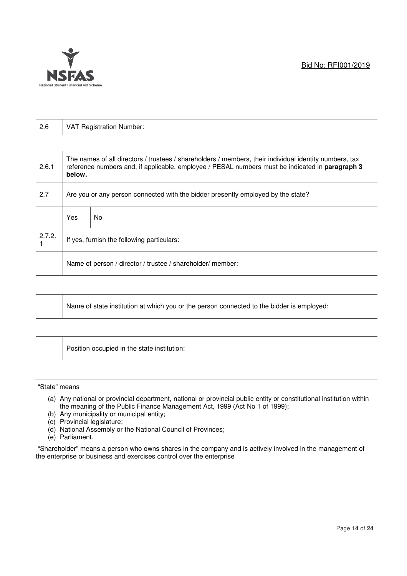

| 2.6    |                                                                                                                                                                                                                     | <b>VAT Registration Number:</b> |                                                            |  |  |  |  |
|--------|---------------------------------------------------------------------------------------------------------------------------------------------------------------------------------------------------------------------|---------------------------------|------------------------------------------------------------|--|--|--|--|
|        |                                                                                                                                                                                                                     |                                 |                                                            |  |  |  |  |
| 2.6.1  | The names of all directors / trustees / shareholders / members, their individual identity numbers, tax<br>reference numbers and, if applicable, employee / PESAL numbers must be indicated in paragraph 3<br>below. |                                 |                                                            |  |  |  |  |
| 2.7    | Are you or any person connected with the bidder presently employed by the state?                                                                                                                                    |                                 |                                                            |  |  |  |  |
|        | <b>Yes</b>                                                                                                                                                                                                          | No.                             |                                                            |  |  |  |  |
| 2.7.2. | If yes, furnish the following particulars:                                                                                                                                                                          |                                 |                                                            |  |  |  |  |
|        |                                                                                                                                                                                                                     |                                 | Name of person / director / trustee / shareholder/ member: |  |  |  |  |

|--|

Position occupied in the state institution:

#### "State" means

- (a) Any national or provincial department, national or provincial public entity or constitutional institution within the meaning of the Public Finance Management Act, 1999 (Act No 1 of 1999);
- (b) Any municipality or municipal entity;
- (c) Provincial legislature;
- (d) National Assembly or the National Council of Provinces;
- (e) Parliament.

 "Shareholder" means a person who owns shares in the company and is actively involved in the management of the enterprise or business and exercises control over the enterprise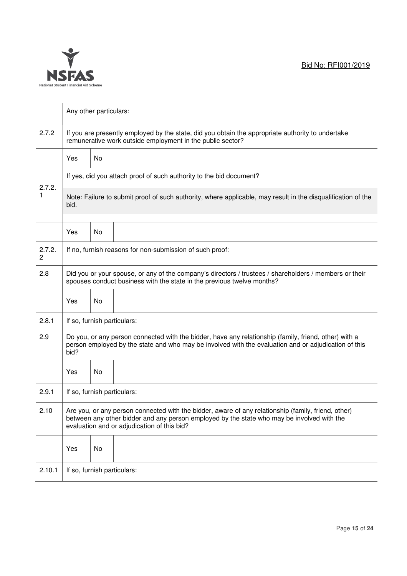

|             |                                                                                                                                                                                                                                                  | Any other particulars:                                                                                                                                          |                                                                                                              |  |  |  |  |  |  |
|-------------|--------------------------------------------------------------------------------------------------------------------------------------------------------------------------------------------------------------------------------------------------|-----------------------------------------------------------------------------------------------------------------------------------------------------------------|--------------------------------------------------------------------------------------------------------------|--|--|--|--|--|--|
| 2.7.2       |                                                                                                                                                                                                                                                  | If you are presently employed by the state, did you obtain the appropriate authority to undertake<br>remunerative work outside employment in the public sector? |                                                                                                              |  |  |  |  |  |  |
|             | Yes                                                                                                                                                                                                                                              | No                                                                                                                                                              |                                                                                                              |  |  |  |  |  |  |
| 2.7.2.      |                                                                                                                                                                                                                                                  |                                                                                                                                                                 | If yes, did you attach proof of such authority to the bid document?                                          |  |  |  |  |  |  |
|             | bid.                                                                                                                                                                                                                                             |                                                                                                                                                                 | Note: Failure to submit proof of such authority, where applicable, may result in the disqualification of the |  |  |  |  |  |  |
|             | Yes                                                                                                                                                                                                                                              | <b>No</b>                                                                                                                                                       |                                                                                                              |  |  |  |  |  |  |
| 2.7.2.<br>2 |                                                                                                                                                                                                                                                  |                                                                                                                                                                 | If no, furnish reasons for non-submission of such proof:                                                     |  |  |  |  |  |  |
| 2.8         | Did you or your spouse, or any of the company's directors / trustees / shareholders / members or their<br>spouses conduct business with the state in the previous twelve months?                                                                 |                                                                                                                                                                 |                                                                                                              |  |  |  |  |  |  |
|             | Yes                                                                                                                                                                                                                                              | No                                                                                                                                                              |                                                                                                              |  |  |  |  |  |  |
| 2.8.1       | If so, furnish particulars:                                                                                                                                                                                                                      |                                                                                                                                                                 |                                                                                                              |  |  |  |  |  |  |
| 2.9         | Do you, or any person connected with the bidder, have any relationship (family, friend, other) with a<br>person employed by the state and who may be involved with the evaluation and or adjudication of this<br>bid?                            |                                                                                                                                                                 |                                                                                                              |  |  |  |  |  |  |
|             | Yes                                                                                                                                                                                                                                              | No                                                                                                                                                              |                                                                                                              |  |  |  |  |  |  |
| 2.9.1       | If so, furnish particulars:                                                                                                                                                                                                                      |                                                                                                                                                                 |                                                                                                              |  |  |  |  |  |  |
| 2.10        | Are you, or any person connected with the bidder, aware of any relationship (family, friend, other)<br>between any other bidder and any person employed by the state who may be involved with the<br>evaluation and or adjudication of this bid? |                                                                                                                                                                 |                                                                                                              |  |  |  |  |  |  |
|             | Yes                                                                                                                                                                                                                                              | No                                                                                                                                                              |                                                                                                              |  |  |  |  |  |  |
| 2.10.1      |                                                                                                                                                                                                                                                  | If so, furnish particulars:                                                                                                                                     |                                                                                                              |  |  |  |  |  |  |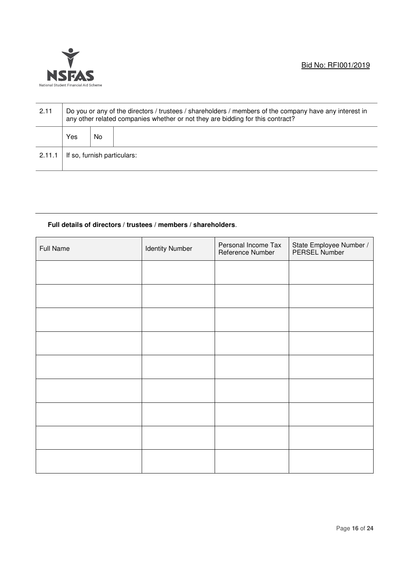

| 2.11   |                             | Do you or any of the directors / trustees / shareholders / members of the company have any interest in<br>any other related companies whether or not they are bidding for this contract? |  |  |  |  |  |  |
|--------|-----------------------------|------------------------------------------------------------------------------------------------------------------------------------------------------------------------------------------|--|--|--|--|--|--|
|        | Yes                         | No.                                                                                                                                                                                      |  |  |  |  |  |  |
| 2.11.1 | If so, furnish particulars: |                                                                                                                                                                                          |  |  |  |  |  |  |

#### **Full details of directors / trustees / members / shareholders**.

| <b>Full Name</b> | <b>Identity Number</b> | Personal Income Tax<br>Reference Number | State Employee Number /<br>PERSEL Number |
|------------------|------------------------|-----------------------------------------|------------------------------------------|
|                  |                        |                                         |                                          |
|                  |                        |                                         |                                          |
|                  |                        |                                         |                                          |
|                  |                        |                                         |                                          |
|                  |                        |                                         |                                          |
|                  |                        |                                         |                                          |
|                  |                        |                                         |                                          |
|                  |                        |                                         |                                          |
|                  |                        |                                         |                                          |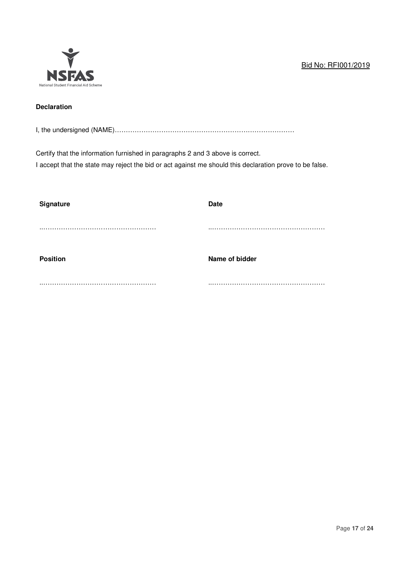

## **Declaration**

I, the undersigned (NAME)………………………………………………………………………

Certify that the information furnished in paragraphs 2 and 3 above is correct. I accept that the state may reject the bid or act against me should this declaration prove to be false.

| Signature       | <b>Date</b>    |
|-----------------|----------------|
|                 |                |
| <b>Position</b> | Name of bidder |
|                 |                |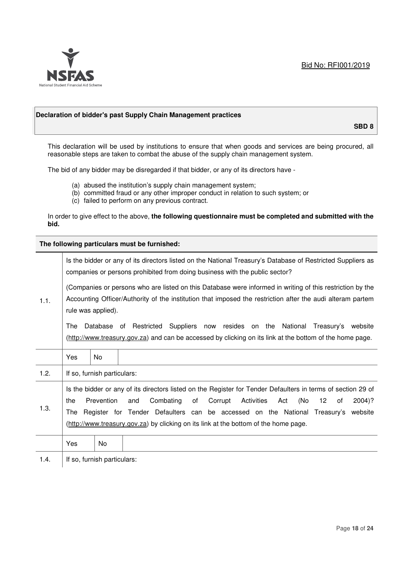

#### **Declaration of bidder's past Supply Chain Management practices**

**SBD 8** 

This declaration will be used by institutions to ensure that when goods and services are being procured, all reasonable steps are taken to combat the abuse of the supply chain management system.

The bid of any bidder may be disregarded if that bidder, or any of its directors have -

- (a) abused the institution's supply chain management system;
- (b) committed fraud or any other improper conduct in relation to such system; or
- (c) failed to perform on any previous contract.

In order to give effect to the above, **the following questionnaire must be completed and submitted with the bid.**

**The following particulars must be furnished:** 

|      | Is the bidder or any of its directors listed on the National Treasury's Database of Restricted Suppliers as<br>companies or persons prohibited from doing business with the public sector?                                                                                                                                                                                                                                   |                             |  |  |
|------|------------------------------------------------------------------------------------------------------------------------------------------------------------------------------------------------------------------------------------------------------------------------------------------------------------------------------------------------------------------------------------------------------------------------------|-----------------------------|--|--|
| 1.1. | (Companies or persons who are listed on this Database were informed in writing of this restriction by the<br>Accounting Officer/Authority of the institution that imposed the restriction after the audi alteram partem<br>rule was applied).                                                                                                                                                                                |                             |  |  |
|      | Database of Restricted Suppliers now resides on the National<br>The<br>Treasury's website<br>(http://www.treasury.gov.za) and can be accessed by clicking on its link at the bottom of the home page.                                                                                                                                                                                                                        |                             |  |  |
|      | Yes                                                                                                                                                                                                                                                                                                                                                                                                                          | No.                         |  |  |
| 1.2. |                                                                                                                                                                                                                                                                                                                                                                                                                              | If so, furnish particulars: |  |  |
| 1.3. | Is the bidder or any of its directors listed on the Register for Tender Defaulters in terms of section 29 of<br>Prevention<br>Combating<br>Corrupt<br>Activities<br>(No<br>12 <sup>12</sup><br>the<br>of<br>Act<br>$2004$ ?<br>and<br>0f<br>Register for Tender Defaulters can be accessed on the National Treasury's website<br>The<br>(http://www.treasury.gov.za) by clicking on its link at the bottom of the home page. |                             |  |  |
|      | Yes                                                                                                                                                                                                                                                                                                                                                                                                                          | No                          |  |  |
| 1.4. |                                                                                                                                                                                                                                                                                                                                                                                                                              | If so, furnish particulars: |  |  |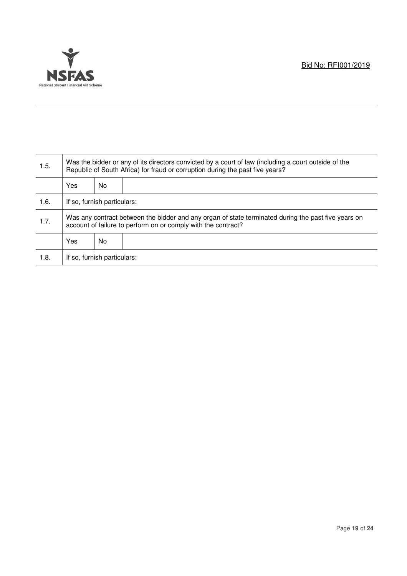

| 1.5. | Was the bidder or any of its directors convicted by a court of law (including a court outside of the<br>Republic of South Africa) for fraud or corruption during the past five years? |    |  |
|------|---------------------------------------------------------------------------------------------------------------------------------------------------------------------------------------|----|--|
|      | Yes                                                                                                                                                                                   | No |  |
| 1.6. | If so, furnish particulars:                                                                                                                                                           |    |  |
| 1.7. | Was any contract between the bidder and any organ of state terminated during the past five years on<br>account of failure to perform on or comply with the contract?                  |    |  |
|      | Yes                                                                                                                                                                                   | No |  |
| 1.8. | If so, furnish particulars:                                                                                                                                                           |    |  |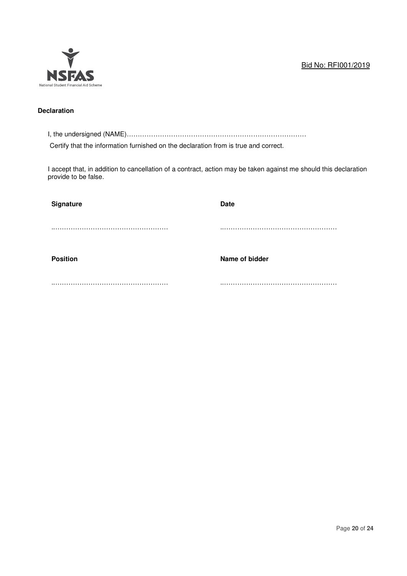

## **Declaration**

I, the undersigned (NAME)………………………………………………………………………

Certify that the information furnished on the declaration from is true and correct.

I accept that, in addition to cancellation of a contract, action may be taken against me should this declaration provide to be false.

| <b>Signature</b> | <b>Date</b>    |
|------------------|----------------|
|                  |                |
| <b>Position</b>  | Name of bidder |
|                  |                |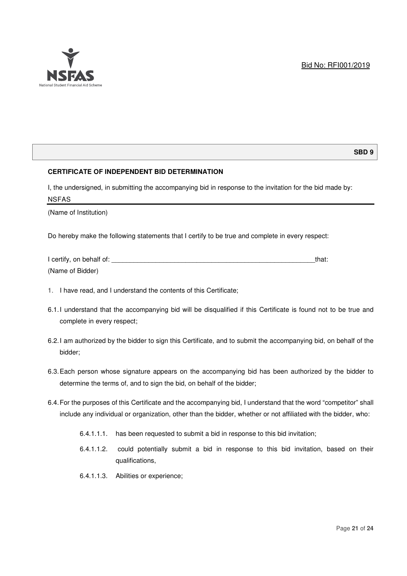

#### **SBD 9**

#### **CERTIFICATE OF INDEPENDENT BID DETERMINATION**

I, the undersigned, in submitting the accompanying bid in response to the invitation for the bid made by: NSFAS

(Name of Institution)

Do hereby make the following statements that I certify to be true and complete in every respect:

| I certify, on behalf of: | that: |
|--------------------------|-------|
| (Name of Bidder)         |       |

- 1. I have read, and I understand the contents of this Certificate;
- 6.1. I understand that the accompanying bid will be disqualified if this Certificate is found not to be true and complete in every respect;
- 6.2. I am authorized by the bidder to sign this Certificate, and to submit the accompanying bid, on behalf of the bidder;
- 6.3. Each person whose signature appears on the accompanying bid has been authorized by the bidder to determine the terms of, and to sign the bid, on behalf of the bidder;
- 6.4. For the purposes of this Certificate and the accompanying bid, I understand that the word "competitor" shall include any individual or organization, other than the bidder, whether or not affiliated with the bidder, who:
	- 6.4.1.1.1. has been requested to submit a bid in response to this bid invitation;
	- 6.4.1.1.2. could potentially submit a bid in response to this bid invitation, based on their qualifications,
	- 6.4.1.1.3. Abilities or experience;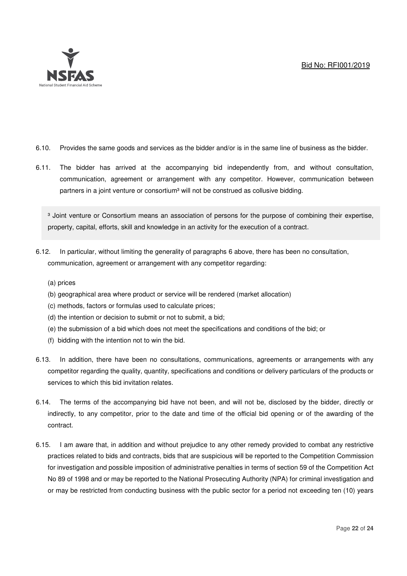

- 6.10. Provides the same goods and services as the bidder and/or is in the same line of business as the bidder.
- 6.11. The bidder has arrived at the accompanying bid independently from, and without consultation, communication, agreement or arrangement with any competitor. However, communication between partners in a joint venture or consortium<sup>3</sup> will not be construed as collusive bidding.

<sup>3</sup> Joint venture or Consortium means an association of persons for the purpose of combining their expertise, property, capital, efforts, skill and knowledge in an activity for the execution of a contract.

- 6.12. In particular, without limiting the generality of paragraphs 6 above, there has been no consultation, communication, agreement or arrangement with any competitor regarding:
	- (a) prices
	- (b) geographical area where product or service will be rendered (market allocation)
	- (c) methods, factors or formulas used to calculate prices;
	- (d) the intention or decision to submit or not to submit, a bid;
	- (e) the submission of a bid which does not meet the specifications and conditions of the bid; or
	- (f) bidding with the intention not to win the bid.
- 6.13. In addition, there have been no consultations, communications, agreements or arrangements with any competitor regarding the quality, quantity, specifications and conditions or delivery particulars of the products or services to which this bid invitation relates.
- 6.14. The terms of the accompanying bid have not been, and will not be, disclosed by the bidder, directly or indirectly, to any competitor, prior to the date and time of the official bid opening or of the awarding of the contract.
- 6.15. I am aware that, in addition and without prejudice to any other remedy provided to combat any restrictive practices related to bids and contracts, bids that are suspicious will be reported to the Competition Commission for investigation and possible imposition of administrative penalties in terms of section 59 of the Competition Act No 89 of 1998 and or may be reported to the National Prosecuting Authority (NPA) for criminal investigation and or may be restricted from conducting business with the public sector for a period not exceeding ten (10) years